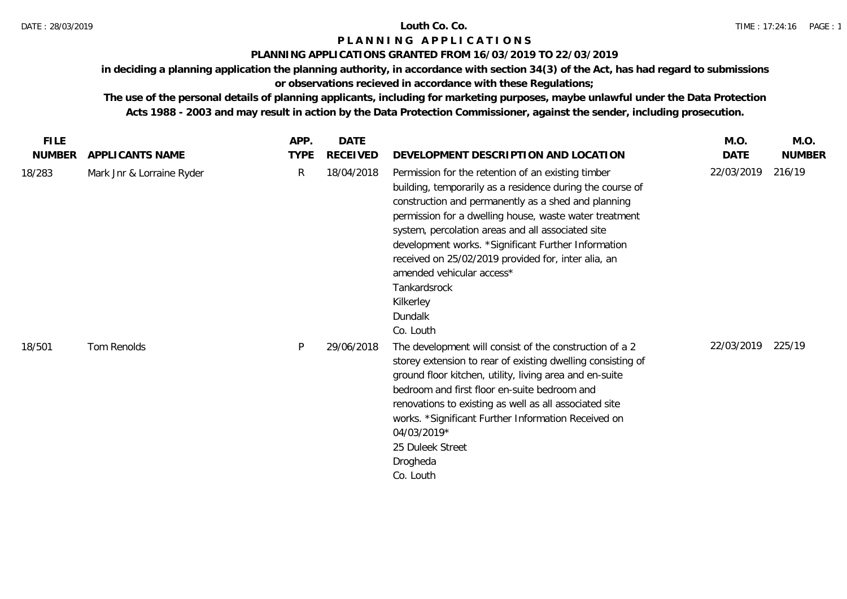## DATE : 28/03/2019 **Louth Co. Co.**

## **P L A N N I N G A P P L I C A T I O N S**

## **PLANNING APPLICATIONS GRANTED FROM 16/03/2019 TO 22/03/2019**

**in deciding a planning application the planning authority, in accordance with section 34(3) of the Act, has had regard to submissions** 

# **or observations recieved in accordance with these Regulations;**

| <b>FILE</b>   |                           | APP.        | <b>DATE</b>     |                                                                                                                                                                                                                                                                                                                                                                                                                                                                                       | M.O.       | M.O.          |
|---------------|---------------------------|-------------|-----------------|---------------------------------------------------------------------------------------------------------------------------------------------------------------------------------------------------------------------------------------------------------------------------------------------------------------------------------------------------------------------------------------------------------------------------------------------------------------------------------------|------------|---------------|
| <b>NUMBER</b> | APPLICANTS NAME           | <b>TYPE</b> | <b>RECEIVED</b> | DEVELOPMENT DESCRIPTION AND LOCATION                                                                                                                                                                                                                                                                                                                                                                                                                                                  | DATE       | <b>NUMBER</b> |
| 18/283        | Mark Jnr & Lorraine Ryder | R           | 18/04/2018      | Permission for the retention of an existing timber<br>building, temporarily as a residence during the course of<br>construction and permanently as a shed and planning<br>permission for a dwelling house, waste water treatment<br>system, percolation areas and all associated site<br>development works. *Significant Further Information<br>received on 25/02/2019 provided for, inter alia, an<br>amended vehicular access*<br>Tankardsrock<br>Kilkerley<br>Dundalk<br>Co. Louth | 22/03/2019 | 216/19        |
| 18/501        | Tom Renolds               | P           | 29/06/2018      | The development will consist of the construction of a 2<br>storey extension to rear of existing dwelling consisting of<br>ground floor kitchen, utility, living area and en-suite<br>bedroom and first floor en-suite bedroom and<br>renovations to existing as well as all associated site<br>works. *Significant Further Information Received on<br>04/03/2019*<br>25 Duleek Street<br>Drogheda<br>Co. Louth                                                                        | 22/03/2019 | 225/19        |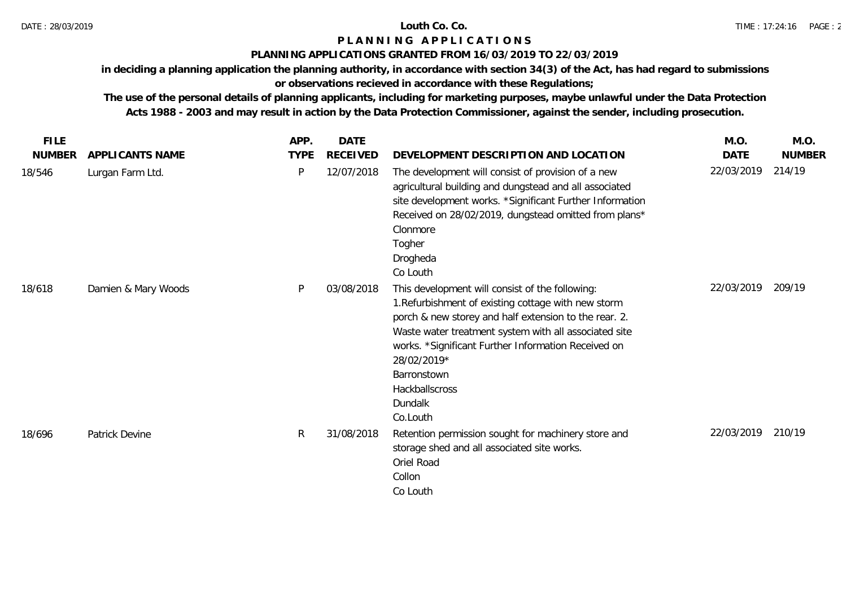## **PLANNING APPLICATIONS GRANTED FROM 16/03/2019 TO 22/03/2019**

**in deciding a planning application the planning authority, in accordance with section 34(3) of the Act, has had regard to submissions** 

# **or observations recieved in accordance with these Regulations;**

| <b>FILE</b>   |                     | APP.         | DATE            |                                                                                                                                                                                                                                                                                                                                                        | M.O.        | M.O.          |
|---------------|---------------------|--------------|-----------------|--------------------------------------------------------------------------------------------------------------------------------------------------------------------------------------------------------------------------------------------------------------------------------------------------------------------------------------------------------|-------------|---------------|
| <b>NUMBER</b> | APPLICANTS NAME     | <b>TYPE</b>  | <b>RECEIVED</b> | DEVELOPMENT DESCRIPTION AND LOCATION                                                                                                                                                                                                                                                                                                                   | <b>DATE</b> | <b>NUMBER</b> |
| 18/546        | Lurgan Farm Ltd.    | P            | 12/07/2018      | The development will consist of provision of a new<br>agricultural building and dungstead and all associated<br>site development works. *Significant Further Information<br>Received on 28/02/2019, dungstead omitted from plans*<br>Clonmore<br>Togher<br>Drogheda<br>Co Louth                                                                        | 22/03/2019  | 214/19        |
| 18/618        | Damien & Mary Woods | P            | 03/08/2018      | This development will consist of the following:<br>1. Refurbishment of existing cottage with new storm<br>porch & new storey and half extension to the rear. 2.<br>Waste water treatment system with all associated site<br>works. *Significant Further Information Received on<br>28/02/2019*<br>Barronstown<br>Hackballscross<br>Dundalk<br>Co.Louth | 22/03/2019  | 209/19        |
| 18/696        | Patrick Devine      | $\mathsf{R}$ | 31/08/2018      | Retention permission sought for machinery store and<br>storage shed and all associated site works.<br>Oriel Road<br>Collon<br>Co Louth                                                                                                                                                                                                                 | 22/03/2019  | 210/19        |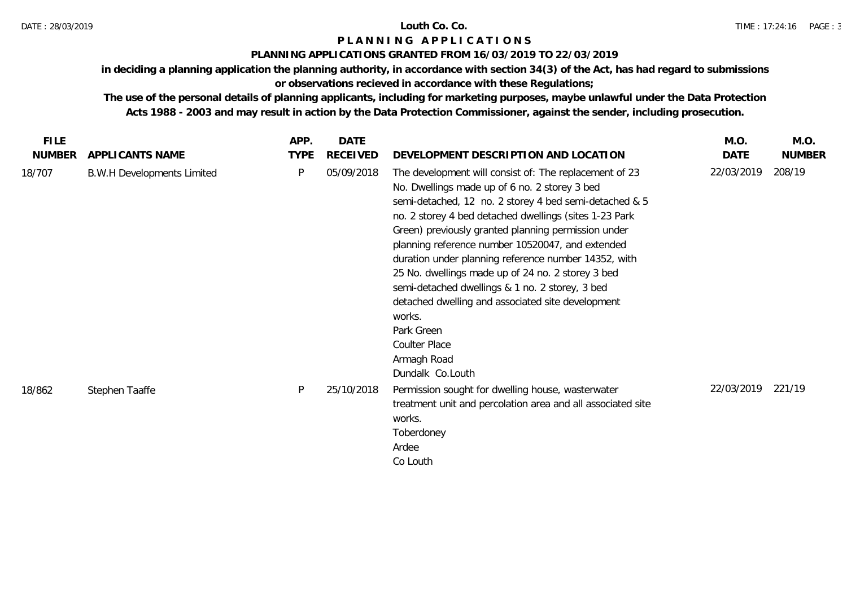### **PLANNING APPLICATIONS GRANTED FROM 16/03/2019 TO 22/03/2019**

**in deciding a planning application the planning authority, in accordance with section 34(3) of the Act, has had regard to submissions** 

# **or observations recieved in accordance with these Regulations;**

| FILE.         |                                   | APP.        | <b>DATE</b>     |                                                                                                                                                                                                                                                                                                                                                                                                                                                                                                                                                                                                                                                | M.O.       | M.O.          |
|---------------|-----------------------------------|-------------|-----------------|------------------------------------------------------------------------------------------------------------------------------------------------------------------------------------------------------------------------------------------------------------------------------------------------------------------------------------------------------------------------------------------------------------------------------------------------------------------------------------------------------------------------------------------------------------------------------------------------------------------------------------------------|------------|---------------|
| <b>NUMBER</b> | APPLICANTS NAME                   | <b>TYPE</b> | <b>RECEIVED</b> | DEVELOPMENT DESCRIPTION AND LOCATION                                                                                                                                                                                                                                                                                                                                                                                                                                                                                                                                                                                                           | DATE       | <b>NUMBER</b> |
| 18/707        | <b>B.W.H Developments Limited</b> | P           | 05/09/2018      | The development will consist of: The replacement of 23<br>No. Dwellings made up of 6 no. 2 storey 3 bed<br>semi-detached, 12 no. 2 storey 4 bed semi-detached & 5<br>no. 2 storey 4 bed detached dwellings (sites 1-23 Park<br>Green) previously granted planning permission under<br>planning reference number 10520047, and extended<br>duration under planning reference number 14352, with<br>25 No. dwellings made up of 24 no. 2 storey 3 bed<br>semi-detached dwellings & 1 no. 2 storey, 3 bed<br>detached dwelling and associated site development<br>works.<br>Park Green<br><b>Coulter Place</b><br>Armagh Road<br>Dundalk Co.Louth | 22/03/2019 | 208/19        |
| 18/862        | Stephen Taaffe                    | P           | 25/10/2018      | Permission sought for dwelling house, wasterwater<br>treatment unit and percolation area and all associated site<br>works.<br>Toberdoney<br>Ardee<br>Co Louth                                                                                                                                                                                                                                                                                                                                                                                                                                                                                  | 22/03/2019 | 221/19        |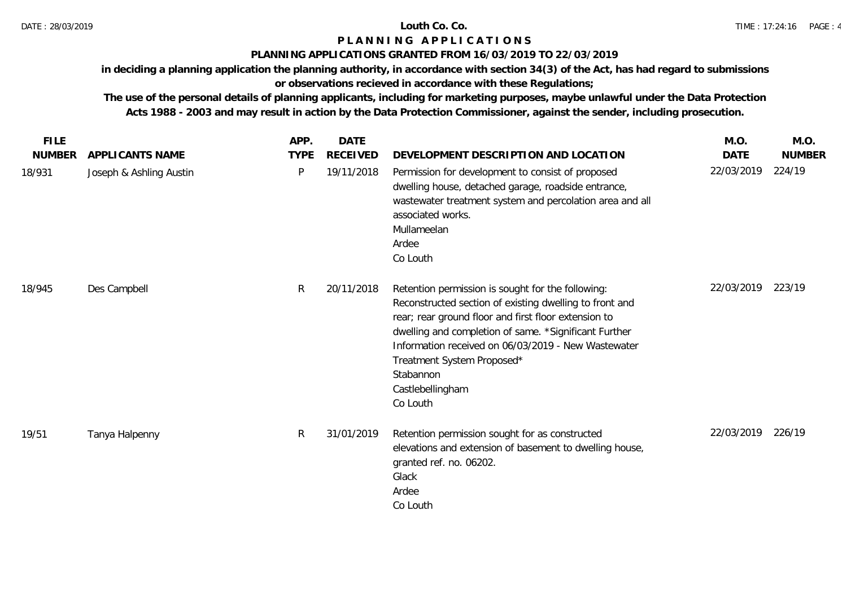## DATE : 28/03/2019 **Louth Co. Co.**

# **P L A N N I N G A P P L I C A T I O N S**

## **PLANNING APPLICATIONS GRANTED FROM 16/03/2019 TO 22/03/2019**

**in deciding a planning application the planning authority, in accordance with section 34(3) of the Act, has had regard to submissions** 

# **or observations recieved in accordance with these Regulations;**

| <b>FILE</b>   |                         | APP.        | <b>DATE</b>     |                                                                                                                                                                                                                                                                                                                                                                 | M.O.        | M.O.          |
|---------------|-------------------------|-------------|-----------------|-----------------------------------------------------------------------------------------------------------------------------------------------------------------------------------------------------------------------------------------------------------------------------------------------------------------------------------------------------------------|-------------|---------------|
| <b>NUMBER</b> | APPLICANTS NAME         | <b>TYPE</b> | <b>RECEIVED</b> | DEVELOPMENT DESCRIPTION AND LOCATION                                                                                                                                                                                                                                                                                                                            | <b>DATE</b> | <b>NUMBER</b> |
| 18/931        | Joseph & Ashling Austin | P           | 19/11/2018      | Permission for development to consist of proposed<br>dwelling house, detached garage, roadside entrance,<br>wastewater treatment system and percolation area and all<br>associated works.<br>Mullameelan<br>Ardee<br>Co Louth                                                                                                                                   | 22/03/2019  | 224/19        |
| 18/945        | Des Campbell            | R           | 20/11/2018      | Retention permission is sought for the following:<br>Reconstructed section of existing dwelling to front and<br>rear; rear ground floor and first floor extension to<br>dwelling and completion of same. *Significant Further<br>Information received on 06/03/2019 - New Wastewater<br>Treatment System Proposed*<br>Stabannon<br>Castlebellingham<br>Co Louth | 22/03/2019  | 223/19        |
| 19/51         | Tanya Halpenny          | R           | 31/01/2019      | Retention permission sought for as constructed<br>elevations and extension of basement to dwelling house,<br>granted ref. no. 06202.<br>Glack<br>Ardee<br>Co Louth                                                                                                                                                                                              | 22/03/2019  | 226/19        |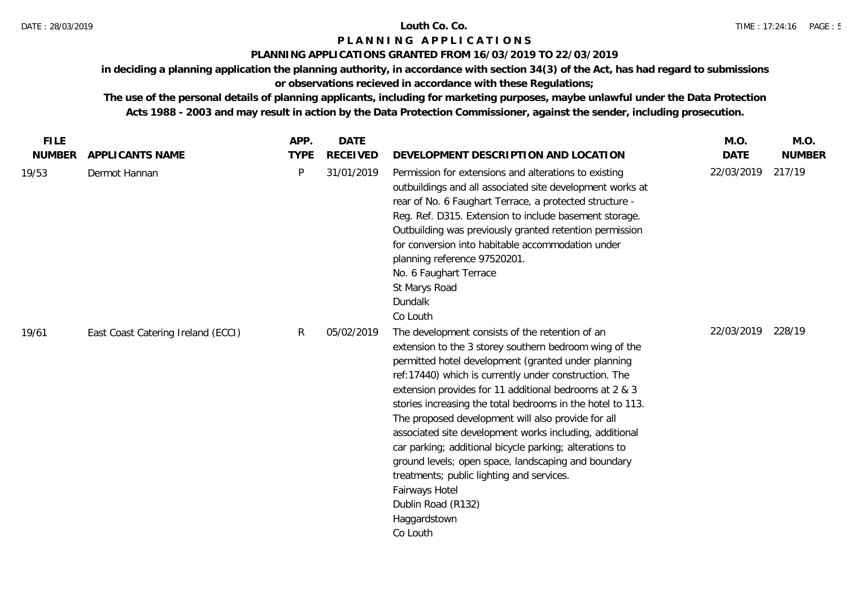### **PLANNING APPLICATIONS GRANTED FROM 16/03/2019 TO 22/03/2019**

**in deciding a planning application the planning authority, in accordance with section 34(3) of the Act, has had regard to submissions** 

# **or observations recieved in accordance with these Regulations;**

| <b>FILE</b><br><b>NUMBER</b> | APPLICANTS NAME                    | APP.<br><b>TYPE</b> | <b>DATE</b><br><b>RECEIVED</b> | DEVELOPMENT DESCRIPTION AND LOCATION                                                                                                                                                                                                                                                                                                                                                                                                                                                                                                                                                                                                                                                                   | M.O.<br><b>DATE</b> | M.O.<br><b>NUMBER</b> |
|------------------------------|------------------------------------|---------------------|--------------------------------|--------------------------------------------------------------------------------------------------------------------------------------------------------------------------------------------------------------------------------------------------------------------------------------------------------------------------------------------------------------------------------------------------------------------------------------------------------------------------------------------------------------------------------------------------------------------------------------------------------------------------------------------------------------------------------------------------------|---------------------|-----------------------|
| 19/53                        | Dermot Hannan                      | $\mathsf{P}$        | 31/01/2019                     | Permission for extensions and alterations to existing<br>outbuildings and all associated site development works at<br>rear of No. 6 Faughart Terrace, a protected structure -<br>Reg. Ref. D315. Extension to include basement storage.<br>Outbuilding was previously granted retention permission<br>for conversion into habitable accommodation under<br>planning reference 97520201.<br>No. 6 Faughart Terrace<br>St Marys Road<br>Dundalk<br>Co Louth                                                                                                                                                                                                                                              | 22/03/2019          | 217/19                |
| 19/61                        | East Coast Catering Ireland (ECCI) | R                   | 05/02/2019                     | The development consists of the retention of an<br>extension to the 3 storey southern bedroom wing of the<br>permitted hotel development (granted under planning<br>ref: 17440) which is currently under construction. The<br>extension provides for 11 additional bedrooms at 2 & 3<br>stories increasing the total bedrooms in the hotel to 113.<br>The proposed development will also provide for all<br>associated site development works including, additional<br>car parking; additional bicycle parking; alterations to<br>ground levels; open space, landscaping and boundary<br>treatments; public lighting and services.<br>Fairways Hotel<br>Dublin Road (R132)<br>Haggardstown<br>Co Louth | 22/03/2019          | 228/19                |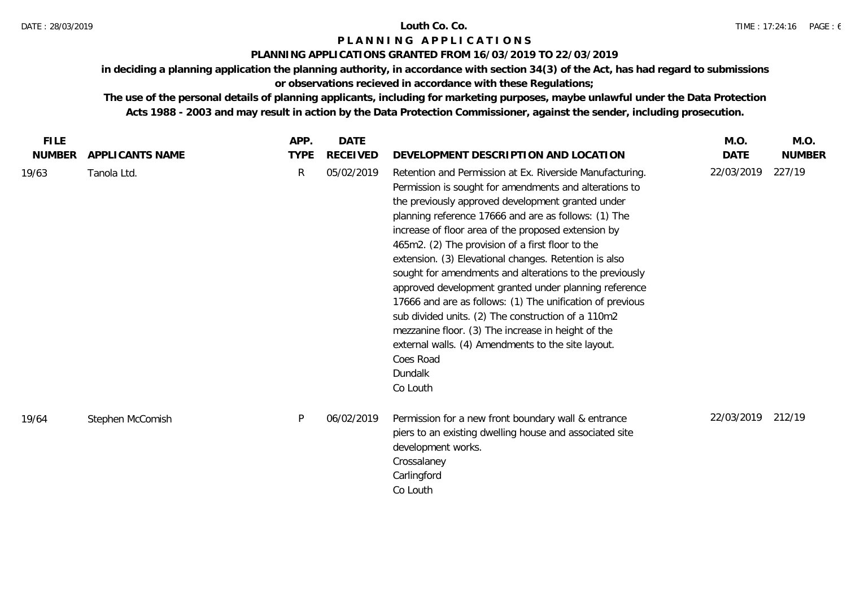### DATE : 28/03/2019 **Louth Co. Co.**

# **P L A N N I N G A P P L I C A T I O N S**

## **PLANNING APPLICATIONS GRANTED FROM 16/03/2019 TO 22/03/2019**

**in deciding a planning application the planning authority, in accordance with section 34(3) of the Act, has had regard to submissions** 

# **or observations recieved in accordance with these Regulations;**

| <b>FILE</b>   |                  | APP.        | <b>DATE</b> |                                                                                                                                                                                                                                                                                                                                                                                                                                                                                                                                                                                                                                                                                                                                                                                            | M.O.              | M.O.          |
|---------------|------------------|-------------|-------------|--------------------------------------------------------------------------------------------------------------------------------------------------------------------------------------------------------------------------------------------------------------------------------------------------------------------------------------------------------------------------------------------------------------------------------------------------------------------------------------------------------------------------------------------------------------------------------------------------------------------------------------------------------------------------------------------------------------------------------------------------------------------------------------------|-------------------|---------------|
| <b>NUMBER</b> | APPLICANTS NAME  | <b>TYPE</b> | RECEIVED    | DEVELOPMENT DESCRIPTION AND LOCATION                                                                                                                                                                                                                                                                                                                                                                                                                                                                                                                                                                                                                                                                                                                                                       | <b>DATE</b>       | <b>NUMBER</b> |
| 19/63         | Tanola Ltd.      | R           | 05/02/2019  | Retention and Permission at Ex. Riverside Manufacturing.<br>Permission is sought for amendments and alterations to<br>the previously approved development granted under<br>planning reference 17666 and are as follows: (1) The<br>increase of floor area of the proposed extension by<br>465m2. (2) The provision of a first floor to the<br>extension. (3) Elevational changes. Retention is also<br>sought for amendments and alterations to the previously<br>approved development granted under planning reference<br>17666 and are as follows: (1) The unification of previous<br>sub divided units. (2) The construction of a 110m2<br>mezzanine floor. (3) The increase in height of the<br>external walls. (4) Amendments to the site layout.<br>Coes Road<br>Dundalk<br>Co Louth | 22/03/2019        | 227/19        |
| 19/64         | Stephen McComish | P           | 06/02/2019  | Permission for a new front boundary wall & entrance<br>piers to an existing dwelling house and associated site<br>development works.<br>Crossalaney<br>Carlingford<br>Co Louth                                                                                                                                                                                                                                                                                                                                                                                                                                                                                                                                                                                                             | 22/03/2019 212/19 |               |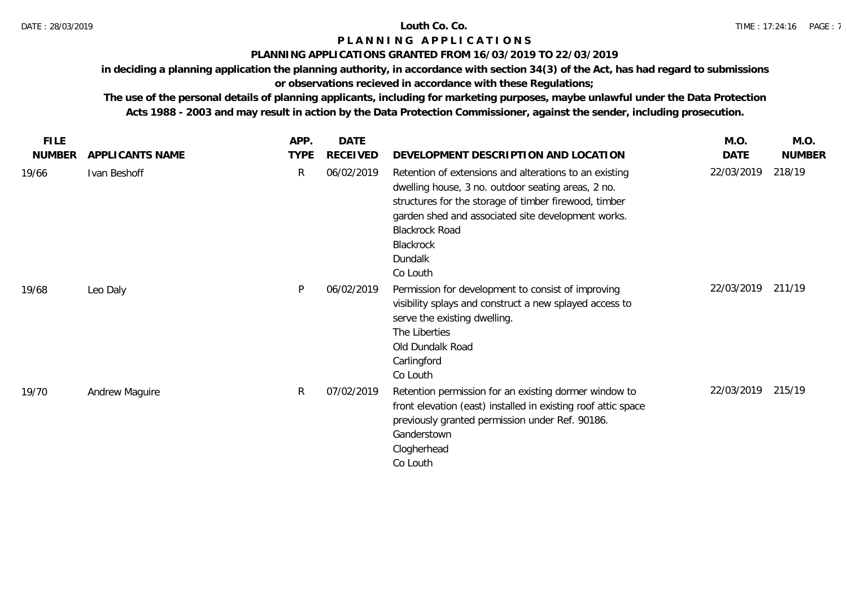### **PLANNING APPLICATIONS GRANTED FROM 16/03/2019 TO 22/03/2019**

**in deciding a planning application the planning authority, in accordance with section 34(3) of the Act, has had regard to submissions** 

# **or observations recieved in accordance with these Regulations;**

| <b>FILE</b>   |                        | APP.        | <b>DATE</b>     |                                                                                                                                                                                                                                                                                          | M.O.       | M.O.          |
|---------------|------------------------|-------------|-----------------|------------------------------------------------------------------------------------------------------------------------------------------------------------------------------------------------------------------------------------------------------------------------------------------|------------|---------------|
| <b>NUMBER</b> | <b>APPLICANTS NAME</b> | <b>TYPE</b> | <b>RECEIVED</b> | DEVELOPMENT DESCRIPTION AND LOCATION                                                                                                                                                                                                                                                     | DATE       | <b>NUMBER</b> |
| 19/66         | Ivan Beshoff           | R           | 06/02/2019      | Retention of extensions and alterations to an existing<br>dwelling house, 3 no. outdoor seating areas, 2 no.<br>structures for the storage of timber firewood, timber<br>garden shed and associated site development works.<br><b>Blackrock Road</b><br>Blackrock<br>Dundalk<br>Co Louth | 22/03/2019 | 218/19        |
| 19/68         | Leo Daly               | P           | 06/02/2019      | Permission for development to consist of improving<br>visibility splays and construct a new splayed access to<br>serve the existing dwelling.<br>The Liberties<br>Old Dundalk Road<br>Carlingford<br>Co Louth                                                                            | 22/03/2019 | 211/19        |
| 19/70         | Andrew Maguire         | R           | 07/02/2019      | Retention permission for an existing dormer window to<br>front elevation (east) installed in existing roof attic space<br>previously granted permission under Ref. 90186.<br>Ganderstown<br>Clogherhead<br>Co Louth                                                                      | 22/03/2019 | 215/19        |